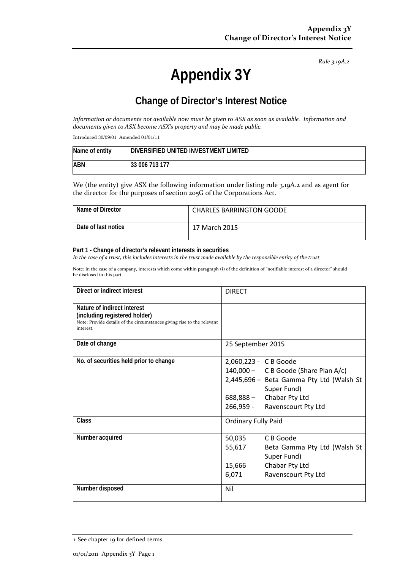*Rule 3.19A.2*

# **Appendix 3Y**

# **Change of Director's Interest Notice**

*Information or documents not available now must be given to ASX as soon as available. Information and documents given to ASX become ASX's property and may be made public.*

Introduced 30/09/01 Amended 01/01/11

| Name of entity | DIVERSIFIED UNITED INVESTMENT LIMITED |
|----------------|---------------------------------------|
| <b>ABN</b>     | 33 006 713 177                        |

We (the entity) give ASX the following information under listing rule 3.19A.2 and as agent for the director for the purposes of section 205G of the Corporations Act.

| Name of Director    | <b>CHARLES BARRINGTON GOODE</b> |
|---------------------|---------------------------------|
| Date of last notice | 17 March 2015                   |

#### **Part 1 - Change of director's relevant interests in securities**

*In the case of a trust, this includes interests in the trust made available by the responsible entity of the trust*

Note: In the case of a company, interests which come within paragraph (i) of the definition of "notifiable interest of a director" should be disclosed in this part.

| Direct or indirect interest                                                                                                                         | <b>DIRECT</b>                                                                                                                                                                           |
|-----------------------------------------------------------------------------------------------------------------------------------------------------|-----------------------------------------------------------------------------------------------------------------------------------------------------------------------------------------|
| Nature of indirect interest<br>(including registered holder)<br>Note: Provide details of the circumstances giving rise to the relevant<br>interest. |                                                                                                                                                                                         |
| Date of change                                                                                                                                      | 25 September 2015                                                                                                                                                                       |
| No. of securities held prior to change                                                                                                              | 2,060,223 - C B Goode<br>$140,000 - C B$ Goode (Share Plan A/c)<br>2,445,696 - Beta Gamma Pty Ltd (Walsh St<br>Super Fund)<br>688,888 - Chabar Pty Ltd<br>266,959 - Ravenscourt Pty Ltd |
| <b>Class</b>                                                                                                                                        | <b>Ordinary Fully Paid</b>                                                                                                                                                              |
| Number acquired                                                                                                                                     | C B Goode<br>50,035<br>55,617<br>Beta Gamma Pty Ltd (Walsh St<br>Super Fund)<br>Chabar Pty Ltd<br>15,666<br>Ravenscourt Pty Ltd<br>6,071                                                |
| Number disposed                                                                                                                                     | Nil                                                                                                                                                                                     |

<sup>+</sup> See chapter 19 for defined terms.